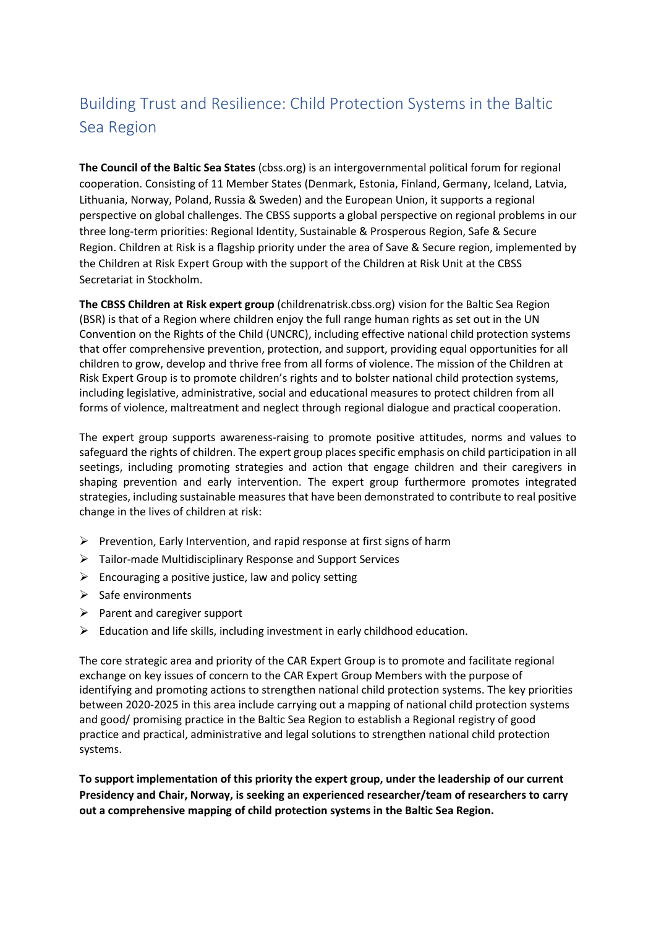# Building Trust and Resilience: Child Protection Systems in the Baltic Sea Region

**The Council of the Baltic Sea States** (cbss.org) is an intergovernmental political forum for regional cooperation. Consisting of 11 Member States (Denmark, Estonia, Finland, Germany, Iceland, Latvia, Lithuania, Norway, Poland, Russia & Sweden) and the European Union, it supports a regional perspective on global challenges. The CBSS supports a global perspective on regional problems in our three long-term priorities: Regional Identity, Sustainable & Prosperous Region, Safe & Secure Region. Children at Risk is a flagship priority under the area of Save & Secure region, implemented by the Children at Risk Expert Group with the support of the Children at Risk Unit at the CBSS Secretariat in Stockholm.

**The CBSS Children at Risk expert group** (childrenatrisk.cbss.org) vision for the Baltic Sea Region (BSR) is that of a Region where children enjoy the full range human rights as set out in the UN Convention on the Rights of the Child (UNCRC), including effective national child protection systems that offer comprehensive prevention, protection, and support, providing equal opportunities for all children to grow, develop and thrive free from all forms of violence. The mission of the Children at Risk Expert Group is to promote children's rights and to bolster national child protection systems, including legislative, administrative, social and educational measures to protect children from all forms of violence, maltreatment and neglect through regional dialogue and practical cooperation.

The expert group supports awareness-raising to promote positive attitudes, norms and values to safeguard the rights of children. The expert group places specific emphasis on child participation in all seetings, including promoting strategies and action that engage children and their caregivers in shaping prevention and early intervention. The expert group furthermore promotes integrated strategies, including sustainable measures that have been demonstrated to contribute to real positive change in the lives of children at risk:

- ➢ Prevention, Early Intervention, and rapid response at first signs of harm
- ➢ Tailor-made Multidisciplinary Response and Support Services
- $\triangleright$  Encouraging a positive justice, law and policy setting
- $\triangleright$  Safe environments
- ➢ Parent and caregiver support
- ➢ Education and life skills, including investment in early childhood education.

The core strategic area and priority of the CAR Expert Group is to promote and facilitate regional exchange on key issues of concern to the CAR Expert Group Members with the purpose of identifying and promoting actions to strengthen national child protection systems. The key priorities between 2020-2025 in this area include carrying out a mapping of national child protection systems and good/ promising practice in the Baltic Sea Region to establish a Regional registry of good practice and practical, administrative and legal solutions to strengthen national child protection systems.

**To support implementation of this priority the expert group, under the leadership of our current Presidency and Chair, Norway, is seeking an experienced researcher/team of researchers to carry out a comprehensive mapping of child protection systems in the Baltic Sea Region.**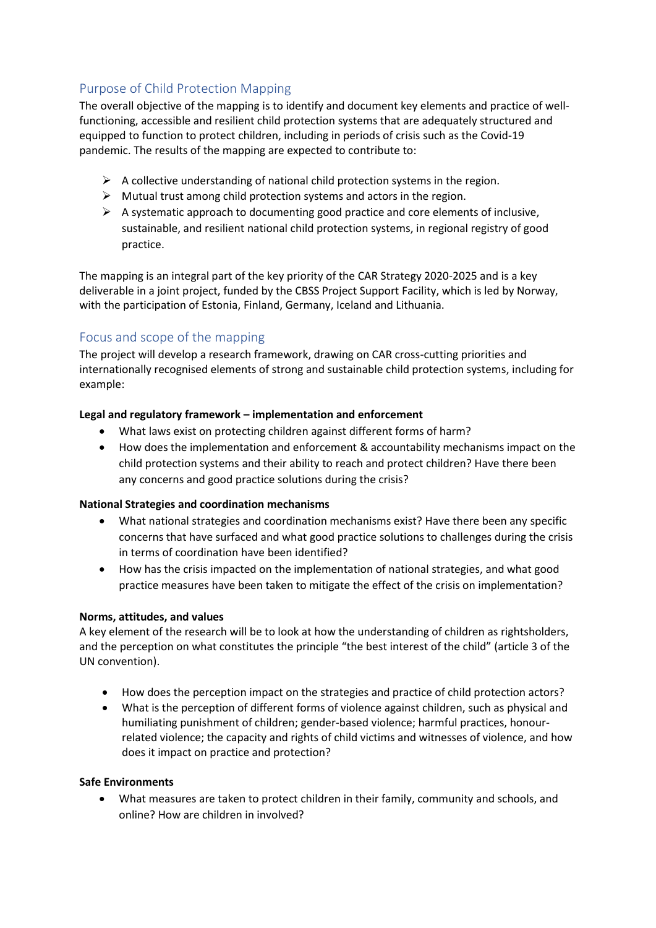# Purpose of Child Protection Mapping

The overall objective of the mapping is to identify and document key elements and practice of wellfunctioning, accessible and resilient child protection systems that are adequately structured and equipped to function to protect children, including in periods of crisis such as the Covid-19 pandemic. The results of the mapping are expected to contribute to:

- $\triangleright$  A collective understanding of national child protection systems in the region.
- $\triangleright$  Mutual trust among child protection systems and actors in the region.
- $\triangleright$  A systematic approach to documenting good practice and core elements of inclusive, sustainable, and resilient national child protection systems, in regional registry of good practice.

The mapping is an integral part of the key priority of the CAR Strategy 2020-2025 and is a key deliverable in a joint project, funded by the CBSS Project Support Facility, which is led by Norway, with the participation of Estonia, Finland, Germany, Iceland and Lithuania.

# Focus and scope of the mapping

The project will develop a research framework, drawing on CAR cross-cutting priorities and internationally recognised elements of strong and sustainable child protection systems, including for example:

## **Legal and regulatory framework – implementation and enforcement**

- What laws exist on protecting children against different forms of harm?
- How does the implementation and enforcement & accountability mechanisms impact on the child protection systems and their ability to reach and protect children? Have there been any concerns and good practice solutions during the crisis?

## **National Strategies and coordination mechanisms**

- What national strategies and coordination mechanisms exist? Have there been any specific concerns that have surfaced and what good practice solutions to challenges during the crisis in terms of coordination have been identified?
- How has the crisis impacted on the implementation of national strategies, and what good practice measures have been taken to mitigate the effect of the crisis on implementation?

## **Norms, attitudes, and values**

A key element of the research will be to look at how the understanding of children as rightsholders, and the perception on what constitutes the principle "the best interest of the child" (article 3 of the UN convention).

- How does the perception impact on the strategies and practice of child protection actors?
- What is the perception of different forms of violence against children, such as physical and humiliating punishment of children; gender-based violence; harmful practices, honourrelated violence; the capacity and rights of child victims and witnesses of violence, and how does it impact on practice and protection?

#### **Safe Environments**

• What measures are taken to protect children in their family, community and schools, and online? How are children in involved?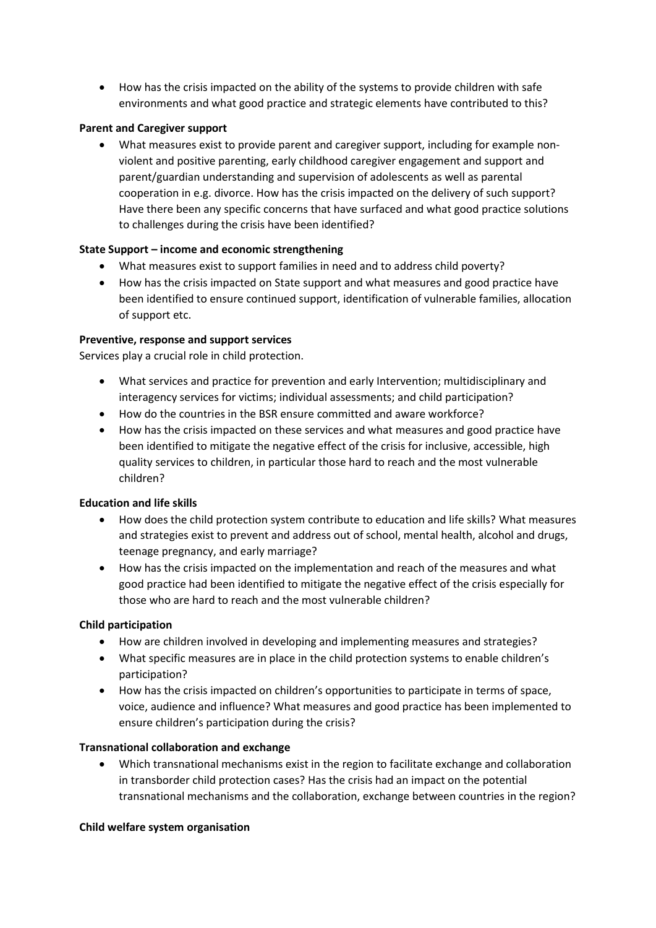• How has the crisis impacted on the ability of the systems to provide children with safe environments and what good practice and strategic elements have contributed to this?

## **Parent and Caregiver support**

• What measures exist to provide parent and caregiver support, including for example nonviolent and positive parenting, early childhood caregiver engagement and support and parent/guardian understanding and supervision of adolescents as well as parental cooperation in e.g. divorce. How has the crisis impacted on the delivery of such support? Have there been any specific concerns that have surfaced and what good practice solutions to challenges during the crisis have been identified?

## **State Support – income and economic strengthening**

- What measures exist to support families in need and to address child poverty?
- How has the crisis impacted on State support and what measures and good practice have been identified to ensure continued support, identification of vulnerable families, allocation of support etc.

## **Preventive, response and support services**

Services play a crucial role in child protection.

- What services and practice for prevention and early Intervention; multidisciplinary and interagency services for victims; individual assessments; and child participation?
- How do the countries in the BSR ensure committed and aware workforce?
- How has the crisis impacted on these services and what measures and good practice have been identified to mitigate the negative effect of the crisis for inclusive, accessible, high quality services to children, in particular those hard to reach and the most vulnerable children?

#### **Education and life skills**

- How does the child protection system contribute to education and life skills? What measures and strategies exist to prevent and address out of school, mental health, alcohol and drugs, teenage pregnancy, and early marriage?
- How has the crisis impacted on the implementation and reach of the measures and what good practice had been identified to mitigate the negative effect of the crisis especially for those who are hard to reach and the most vulnerable children?

## **Child participation**

- How are children involved in developing and implementing measures and strategies?
- What specific measures are in place in the child protection systems to enable children's participation?
- How has the crisis impacted on children's opportunities to participate in terms of space, voice, audience and influence? What measures and good practice has been implemented to ensure children's participation during the crisis?

#### **Transnational collaboration and exchange**

• Which transnational mechanisms exist in the region to facilitate exchange and collaboration in transborder child protection cases? Has the crisis had an impact on the potential transnational mechanisms and the collaboration, exchange between countries in the region?

#### **Child welfare system organisation**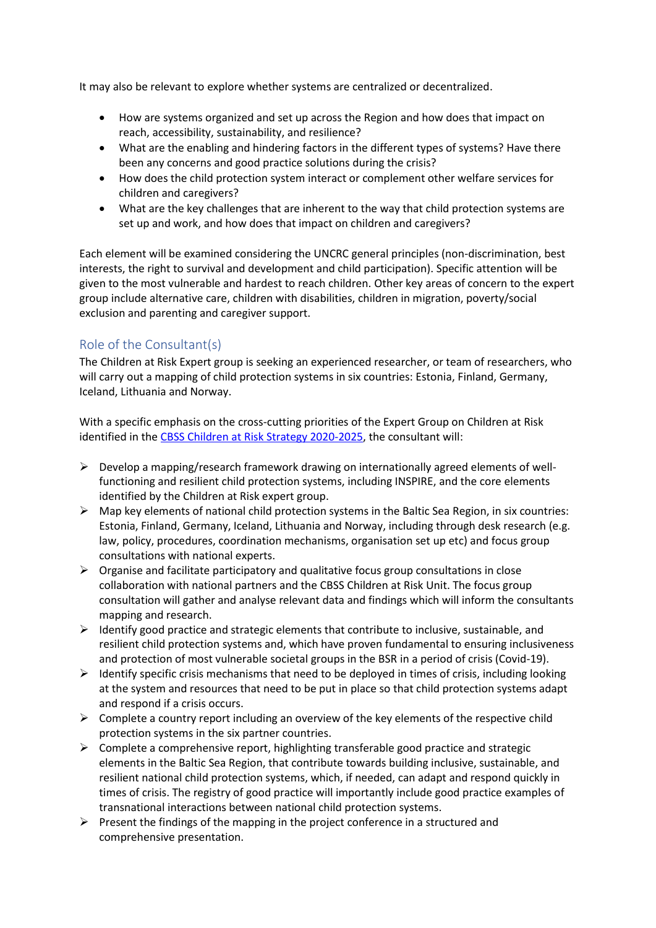It may also be relevant to explore whether systems are centralized or decentralized.

- How are systems organized and set up across the Region and how does that impact on reach, accessibility, sustainability, and resilience?
- What are the enabling and hindering factors in the different types of systems? Have there been any concerns and good practice solutions during the crisis?
- How does the child protection system interact or complement other welfare services for children and caregivers?
- What are the key challenges that are inherent to the way that child protection systems are set up and work, and how does that impact on children and caregivers?

Each element will be examined considering the UNCRC general principles (non-discrimination, best interests, the right to survival and development and child participation). Specific attention will be given to the most vulnerable and hardest to reach children. Other key areas of concern to the expert group include alternative care, children with disabilities, children in migration, poverty/social exclusion and parenting and caregiver support.

# Role of the Consultant(s)

The Children at Risk Expert group is seeking an experienced researcher, or team of researchers, who will carry out a mapping of child protection systems in six countries: Estonia, Finland, Germany, Iceland, Lithuania and Norway.

With a specific emphasis on the cross-cutting priorities of the Expert Group on Children at Risk identified in th[e CBSS Children at Risk Strategy 2020-2025,](https://cbss.org/wp-content/uploads/2020/06/CAR-Regional-Strategy-2020-2025.pdf) the consultant will:

- $\triangleright$  Develop a mapping/research framework drawing on internationally agreed elements of wellfunctioning and resilient child protection systems, including INSPIRE, and the core elements identified by the Children at Risk expert group.
- $\triangleright$  Map key elements of national child protection systems in the Baltic Sea Region, in six countries: Estonia, Finland, Germany, Iceland, Lithuania and Norway, including through desk research (e.g. law, policy, procedures, coordination mechanisms, organisation set up etc) and focus group consultations with national experts.
- ➢ Organise and facilitate participatory and qualitative focus group consultations in close collaboration with national partners and the CBSS Children at Risk Unit. The focus group consultation will gather and analyse relevant data and findings which will inform the consultants mapping and research.
- ➢ Identify good practice and strategic elements that contribute to inclusive, sustainable, and resilient child protection systems and, which have proven fundamental to ensuring inclusiveness and protection of most vulnerable societal groups in the BSR in a period of crisis (Covid-19).
- ➢ Identify specific crisis mechanisms that need to be deployed in times of crisis, including looking at the system and resources that need to be put in place so that child protection systems adapt and respond if a crisis occurs.
- $\triangleright$  Complete a country report including an overview of the key elements of the respective child protection systems in the six partner countries.
- $\triangleright$  Complete a comprehensive report, highlighting transferable good practice and strategic elements in the Baltic Sea Region, that contribute towards building inclusive, sustainable, and resilient national child protection systems, which, if needed, can adapt and respond quickly in times of crisis. The registry of good practice will importantly include good practice examples of transnational interactions between national child protection systems.
- $\triangleright$  Present the findings of the mapping in the project conference in a structured and comprehensive presentation.